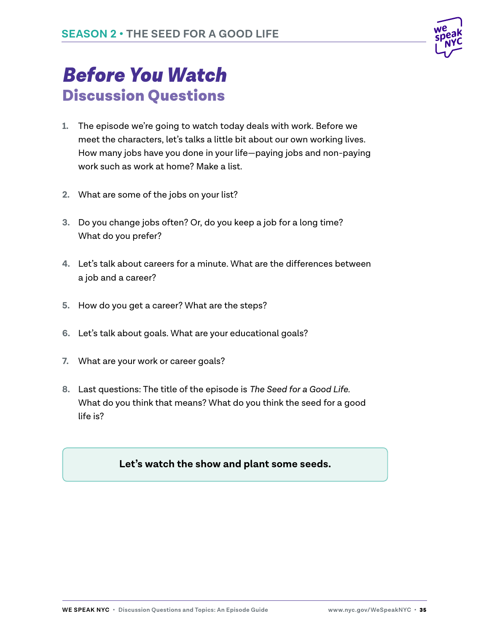

# *Before You Watch* Discussion Questions

- **1.** The episode we're going to watch today deals with work. Before we meet the characters, let's talks a little bit about our own working lives. How many jobs have you done in your life—paying jobs and non-paying work such as work at home? Make a list.
- **2.** What are some of the jobs on your list?
- **3.** Do you change jobs often? Or, do you keep a job for a long time? What do you prefer?
- **4.** Let's talk about careers for a minute. What are the differences between a job and a career?
- **5.** How do you get a career? What are the steps?
- **6.** Let's talk about goals. What are your educational goals?
- **7.** What are your work or career goals?
- **8.** Last questions: The title of the episode is *The Seed for a Good Life.* What do you think that means? What do you think the seed for a good life is?

#### **Let's watch the show and plant some seeds.**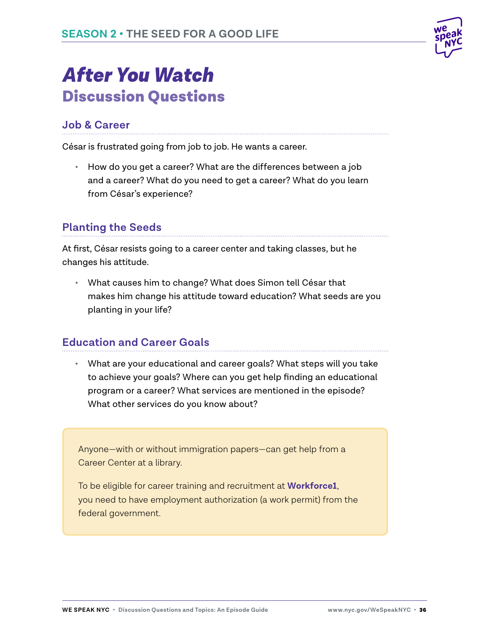

## *After You Watch* Discussion Questions

### **Job & Career**

César is frustrated going from job to job. He wants a career.

**•** How do you get a career? What are the differences between a job and a career? What do you need to get a career? What do you learn from César's experience?

### **Planting the Seeds**

At first, César resists going to a career center and taking classes, but he changes his attitude.

**•** What causes him to change? What does Simon tell César that makes him change his attitude toward education? What seeds are you planting in your life?

#### **Education and Career Goals**

**•** What are your educational and career goals? What steps will you take to achieve your goals? Where can you get help finding an educational program or a career? What services are mentioned in the episode? What other services do you know about?

Anyone—with or without immigration papers—can get help from a Career Center at a library.

To be eligible for career training and recruitment at **Workforce1**, you need to have employment authorization (a work permit) from the federal government.